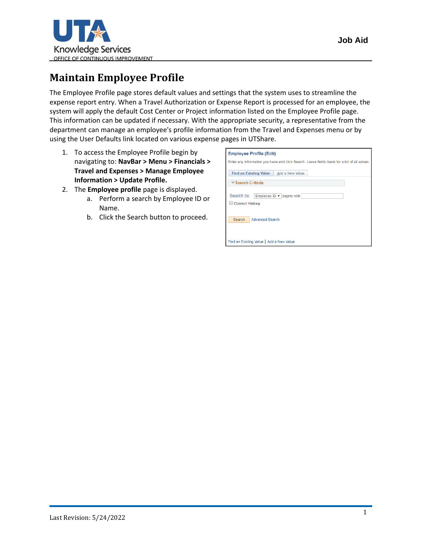

## **Maintain Employee Profile**

The Employee Profile page stores default values and settings that the system uses to streamline the expense report entry. When a Travel Authorization or Expense Report is processed for an employee, the system will apply the default Cost Center or Project information listed on the Employee Profile page. This information can be updated if necessary. With the appropriate security, a representative from the department can manage an employee's profile information from the Travel and Expenses menu or by using the User Defaults link located on various expense pages in UTShare.

- 1. To access the Employee Profile begin by navigating to: **NavBar > Menu > Financials > Travel and Expenses > Manage Employee Information > Update Profile.**
- 2. The **Employee profile** page is displayed.
	- a. Perform a search by Employee ID or Name.
	- b. Click the Search button to proceed.

| <b>Employee Profile (Edit)</b>                                                                |
|-----------------------------------------------------------------------------------------------|
| Enter any information you have and click Search. Leave fields blank for a list of all values. |
| <b>Find an Existing Value</b><br>Add a New Value                                              |
| <b>Example Search Criteria</b>                                                                |
| Search by: Employee ID v begins with<br>Correct History                                       |
| Search<br><b>Advanced Search</b>                                                              |
| Find an Existing Value   Add a New Value                                                      |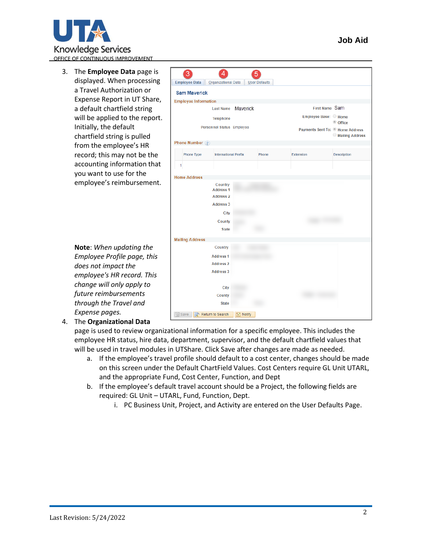

3. The **Employee Data** page is displayed. When processing a Travel Authorization or Expense Report in UT Share, a default chartfield string will be applied to the report. Initially, the default chartfield string is pulled from the employee's HR record; this may not be the accounting information that you want to use for the employee's reimbursement.

> **Note**: *When updating the Employee Profile page, this does not impact the employee's HR record. This change will only apply to future reimbursements through the Travel and Expense pages.*

3  $\mathbf{A}$ 5 Employee Data | Organizational Data | User Defaults **Sam Maverick Employee Information** First Name Sam Last Name Mayerick Employee Base: O Home **Telephone** © Office Personnel Status Employee Payments Sent To: I Home Address Mailing Address Phone Number 2 **Phone Type International Prefix** Phone Extension Description  $\overline{1}$ **Home Address** Country **Address 1 Address 2 Address 3** City County **State Mailing Address** Country **Address 1 Address 2 Address 3** City County **State ■ Save Q<sup>+</sup>** Return to Search **B** Notify

## 4. The **Organizational Data**

page is used to review organizational information for a specific employee. This includes the employee HR status, hire data, department, supervisor, and the default chartfield values that will be used in travel modules in UTShare. Click Save after changes are made as needed.

- a. If the employee's travel profile should default to a cost center, changes should be made on this screen under the Default ChartField Values. Cost Centers require GL Unit UTARL, and the appropriate Fund, Cost Center, Function, and Dept
- b. If the employee's default travel account should be a Project, the following fields are required: GL Unit – UTARL, Fund, Function, Dept.
	- i. PC Business Unit, Project, and Activity are entered on the User Defaults Page.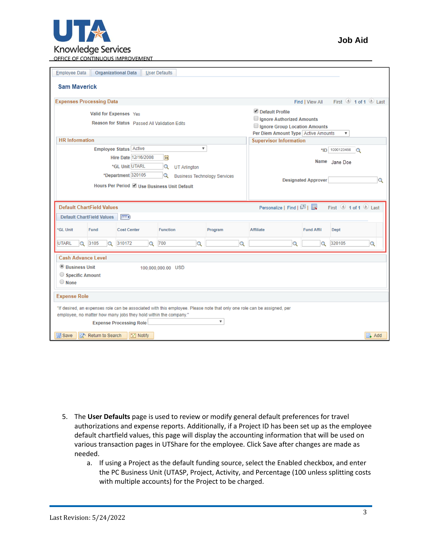

| <b>Organizational Data</b><br><b>Employee Data</b><br><b>User Defaults</b>                                                                                                                                                                               |                                                                                                                                                   |  |  |  |  |  |  |  |  |
|----------------------------------------------------------------------------------------------------------------------------------------------------------------------------------------------------------------------------------------------------------|---------------------------------------------------------------------------------------------------------------------------------------------------|--|--|--|--|--|--|--|--|
| <b>Sam Maverick</b>                                                                                                                                                                                                                                      |                                                                                                                                                   |  |  |  |  |  |  |  |  |
| <b>Expenses Processing Data</b>                                                                                                                                                                                                                          | First $\bigcirc$ 1 of 1 $\bigcirc$ Last<br>Find   View All                                                                                        |  |  |  |  |  |  |  |  |
| Valid for Expenses Yes<br>Reason for Status Passed All Validation Edits                                                                                                                                                                                  | Default Profile<br>Ignore Authorized Amounts<br>Ignore Group Location Amounts<br>Per Diem Amount Type Active Amounts<br>$\boldsymbol{\mathrm{v}}$ |  |  |  |  |  |  |  |  |
| <b>HR</b> Information                                                                                                                                                                                                                                    | <b>Supervisor Information</b>                                                                                                                     |  |  |  |  |  |  |  |  |
| <b>Employee Status Active</b><br>$\overline{\mathbf{v}}$<br>Hire Date 12/16/2008<br> H <br>*GL Unit UTARL<br>$\alpha$<br><b>UT Arlington</b>                                                                                                             | *ID 1000123456<br>$\Omega$<br>Name Jane Doe                                                                                                       |  |  |  |  |  |  |  |  |
| *Department 320105<br>Q<br><b>Business Technology Services</b><br>Hours Per Period @ Use Business Unit Default                                                                                                                                           | <b>Designated Approver</b><br>Q                                                                                                                   |  |  |  |  |  |  |  |  |
| First 1 of 1 2 Last<br><b>Default ChartField Values</b><br>Personalize   Find   2    <br><b>Default ChartField Values</b><br>$\ket{m}$                                                                                                                   |                                                                                                                                                   |  |  |  |  |  |  |  |  |
| <b>GL Unit</b><br><b>Fund</b><br><b>Cost Center</b><br><b>Function</b><br>Program                                                                                                                                                                        | <b>Affiliate</b><br><b>Fund Affil</b><br><b>Dept</b>                                                                                              |  |  |  |  |  |  |  |  |
| 3105<br><b>UTARL</b><br>310172<br>700<br>$\alpha$<br>$\alpha$<br>$\alpha$<br>Q<br>Q                                                                                                                                                                      | 320105<br>$\alpha$<br>$\overline{Q}$<br>$\alpha$                                                                                                  |  |  |  |  |  |  |  |  |
| <b>Cash Advance Level</b>                                                                                                                                                                                                                                |                                                                                                                                                   |  |  |  |  |  |  |  |  |
| <sup>©</sup> Business Unit<br>100,000,000.00 USD<br>Specific Amount<br>$\bigcirc$ None                                                                                                                                                                   |                                                                                                                                                   |  |  |  |  |  |  |  |  |
| <b>Expense Role</b>                                                                                                                                                                                                                                      |                                                                                                                                                   |  |  |  |  |  |  |  |  |
| "If desired, an expenses role can be associated with this employee. Please note that only one role can be assigned, per<br>employee, no matter how many jobs they hold within the company."<br>$\overline{\mathbf{v}}$<br><b>Expense Processing Role</b> |                                                                                                                                                   |  |  |  |  |  |  |  |  |
| <b>圖</b> Save<br>a <sup>+</sup> Return to Search<br>$\equiv$ Notify                                                                                                                                                                                      | $\Box$ Add                                                                                                                                        |  |  |  |  |  |  |  |  |

- 5. The **User Defaults** page is used to review or modify general default preferences for travel authorizations and expense reports. Additionally, if a Project ID has been set up as the employee default chartfield values, this page will display the accounting information that will be used on various transaction pages in UTShare for the employee. Click Save after changes are made as needed.
	- a. If using a Project as the default funding source, select the Enabled checkbox, and enter the PC Business Unit (UTASP, Project, Activity, and Percentage (100 unless splitting costs with multiple accounts) for the Project to be charged.